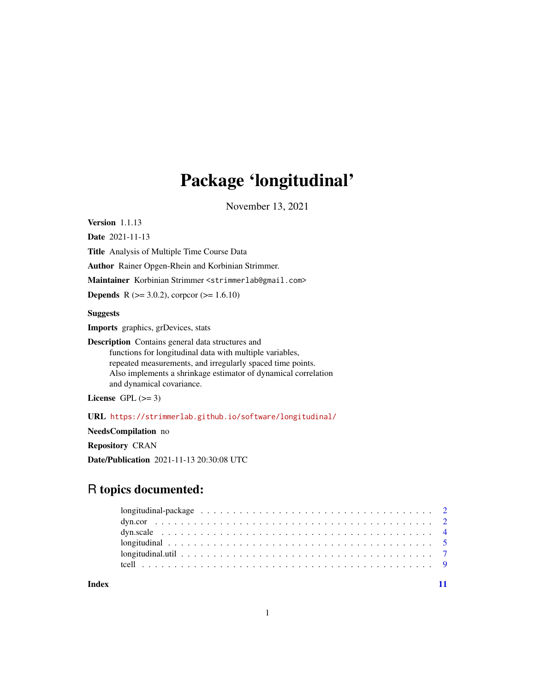## Package 'longitudinal'

November 13, 2021

<span id="page-0-0"></span>Version 1.1.13

Date 2021-11-13

Title Analysis of Multiple Time Course Data

Author Rainer Opgen-Rhein and Korbinian Strimmer.

Maintainer Korbinian Strimmer <strimmerlab@gmail.com>

**Depends** R ( $>= 3.0.2$ ), corpcor ( $>= 1.6.10$ )

Suggests

Imports graphics, grDevices, stats

Description Contains general data structures and functions for longitudinal data with multiple variables, repeated measurements, and irregularly spaced time points. Also implements a shrinkage estimator of dynamical correlation and dynamical covariance.

License GPL  $(>= 3)$ 

URL <https://strimmerlab.github.io/software/longitudinal/>

NeedsCompilation no

Repository CRAN

Date/Publication 2021-11-13 20:30:08 UTC

### R topics documented:

**Index** [11](#page-10-0)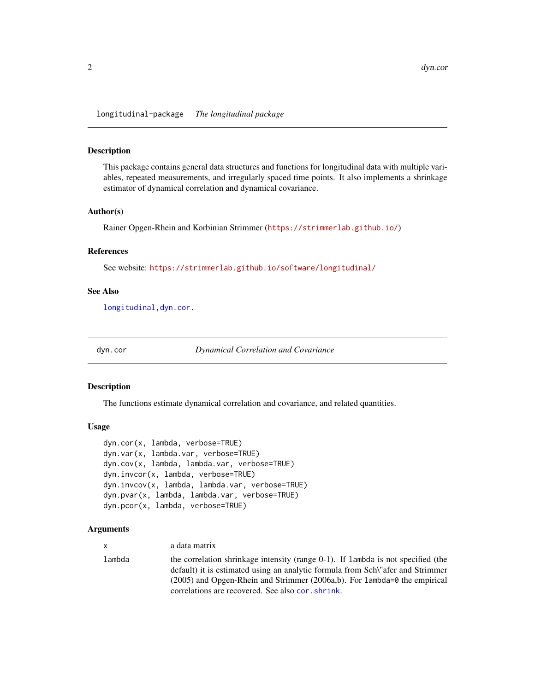<span id="page-1-0"></span>longitudinal-package *The longitudinal package*

#### Description

This package contains general data structures and functions for longitudinal data with multiple variables, repeated measurements, and irregularly spaced time points. It also implements a shrinkage estimator of dynamical correlation and dynamical covariance.

#### Author(s)

Rainer Opgen-Rhein and Korbinian Strimmer (<https://strimmerlab.github.io/>)

#### References

See website: <https://strimmerlab.github.io/software/longitudinal/>

#### See Also

[longitudinal](#page-4-1)[,dyn.cor.](#page-1-1)

<span id="page-1-1"></span>

dyn.cor *Dynamical Correlation and Covariance*

#### Description

The functions estimate dynamical correlation and covariance, and related quantities.

#### Usage

```
dyn.cor(x, lambda, verbose=TRUE)
dyn.var(x, lambda.var, verbose=TRUE)
dyn.cov(x, lambda, lambda.var, verbose=TRUE)
dyn.invcor(x, lambda, verbose=TRUE)
dyn.invcov(x, lambda, lambda.var, verbose=TRUE)
dyn.pvar(x, lambda, lambda.var, verbose=TRUE)
dyn.pcor(x, lambda, verbose=TRUE)
```
#### Arguments

| <b>X</b> | a data matrix                                                                                                                                                                                                                                          |
|----------|--------------------------------------------------------------------------------------------------------------------------------------------------------------------------------------------------------------------------------------------------------|
| lambda   | the correlation shrinkage intensity (range 0-1). If lambda is not specified (the<br>default) it is estimated using an analytic formula from Sch'll'afer and Strimmer<br>$(2005)$ and Opgen-Rhein and Strimmer $(2006a,b)$ . For lambda=0 the empirical |
|          | correlations are recovered. See also cor. shrink.                                                                                                                                                                                                      |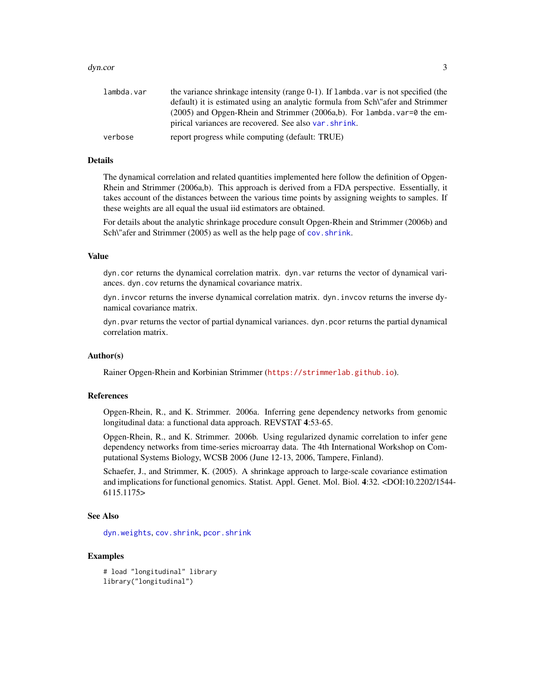#### <span id="page-2-0"></span>dyn.cor 3

| lambda.var | the variance shrinkage intensity (range 0-1). If lambda, var is not specified (the          |
|------------|---------------------------------------------------------------------------------------------|
|            | default) it is estimated using an analytic formula from Sch <sup>\"</sup> afer and Strimmer |
|            | $(2005)$ and Opgen-Rhein and Strimmer $(2006a,b)$ . For lambda. var=0 the em-               |
|            | pirical variances are recovered. See also var. shrink.                                      |
| verbose    | report progress while computing (default: TRUE)                                             |

#### Details

The dynamical correlation and related quantities implemented here follow the definition of Opgen-Rhein and Strimmer (2006a,b). This approach is derived from a FDA perspective. Essentially, it takes account of the distances between the various time points by assigning weights to samples. If these weights are all equal the usual iid estimators are obtained.

For details about the analytic shrinkage procedure consult Opgen-Rhein and Strimmer (2006b) and Sch\"afer and Strimmer (2005) as well as the help page of cov. shrink.

#### Value

dyn.cor returns the dynamical correlation matrix. dyn.var returns the vector of dynamical variances. dyn.cov returns the dynamical covariance matrix.

dyn.invcor returns the inverse dynamical correlation matrix. dyn.invcov returns the inverse dynamical covariance matrix.

dyn.pvar returns the vector of partial dynamical variances. dyn.pcor returns the partial dynamical correlation matrix.

#### Author(s)

Rainer Opgen-Rhein and Korbinian Strimmer (<https://strimmerlab.github.io>).

#### References

Opgen-Rhein, R., and K. Strimmer. 2006a. Inferring gene dependency networks from genomic longitudinal data: a functional data approach. REVSTAT 4:53-65.

Opgen-Rhein, R., and K. Strimmer. 2006b. Using regularized dynamic correlation to infer gene dependency networks from time-series microarray data. The 4th International Workshop on Computational Systems Biology, WCSB 2006 (June 12-13, 2006, Tampere, Finland).

Schaefer, J., and Strimmer, K. (2005). A shrinkage approach to large-scale covariance estimation and implications for functional genomics. Statist. Appl. Genet. Mol. Biol. 4:32. <DOI:10.2202/1544- 6115.1175>

#### See Also

[dyn.weights](#page-3-1), [cov.shrink](#page-0-0), [pcor.shrink](#page-0-0)

#### Examples

# load "longitudinal" library library("longitudinal")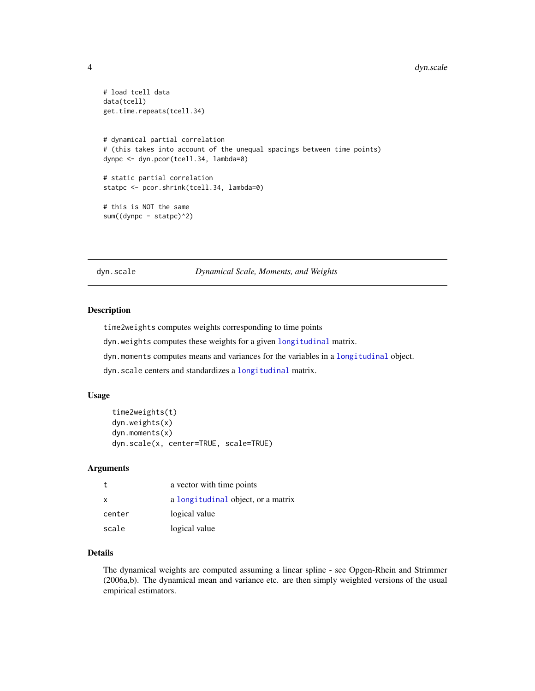#### <span id="page-3-0"></span>4 dyn.scale

```
# load tcell data
data(tcell)
get.time.repeats(tcell.34)
# dynamical partial correlation
# (this takes into account of the unequal spacings between time points)
dynpc <- dyn.pcor(tcell.34, lambda=0)
# static partial correlation
statpc <- pcor.shrink(tcell.34, lambda=0)
# this is NOT the same
sum((dynpc - statpc)^2)
```
dyn.scale *Dynamical Scale, Moments, and Weights*

#### <span id="page-3-1"></span>Description

time2weights computes weights corresponding to time points

- dyn.weights computes these weights for a given [longitudinal](#page-4-1) matrix.
- dyn.moments computes means and variances for the variables in a [longitudinal](#page-4-1) object.
- dyn.scale centers and standardizes a [longitudinal](#page-4-1) matrix.

#### Usage

```
time2weights(t)
dyn.weights(x)
dyn.moments(x)
dyn.scale(x, center=TRUE, scale=TRUE)
```
#### Arguments

| t.       | a vector with time points          |
|----------|------------------------------------|
| $\times$ | a longitudinal object, or a matrix |
| center   | logical value                      |
| scale    | logical value                      |

#### Details

The dynamical weights are computed assuming a linear spline - see Opgen-Rhein and Strimmer (2006a,b). The dynamical mean and variance etc. are then simply weighted versions of the usual empirical estimators.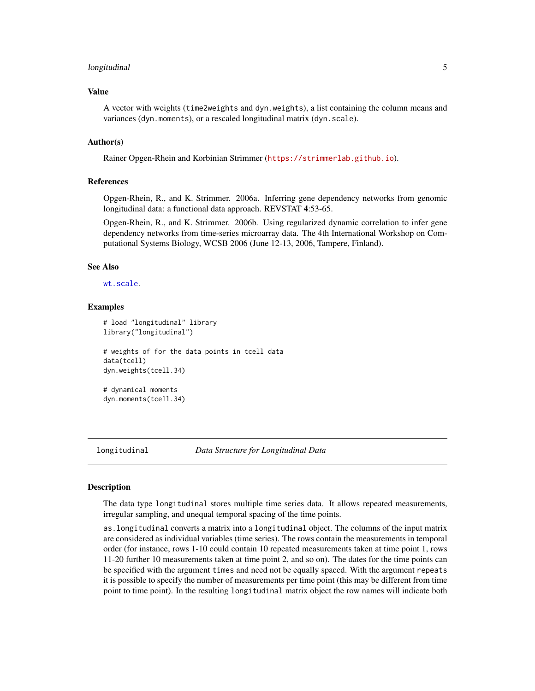#### <span id="page-4-0"></span>longitudinal 5

#### Value

A vector with weights (time2weights and dyn.weights), a list containing the column means and variances (dyn.moments), or a rescaled longitudinal matrix (dyn.scale).

#### Author(s)

Rainer Opgen-Rhein and Korbinian Strimmer (<https://strimmerlab.github.io>).

#### References

Opgen-Rhein, R., and K. Strimmer. 2006a. Inferring gene dependency networks from genomic longitudinal data: a functional data approach. REVSTAT 4:53-65.

Opgen-Rhein, R., and K. Strimmer. 2006b. Using regularized dynamic correlation to infer gene dependency networks from time-series microarray data. The 4th International Workshop on Computational Systems Biology, WCSB 2006 (June 12-13, 2006, Tampere, Finland).

#### See Also

[wt.scale](#page-0-0).

#### Examples

```
# load "longitudinal" library
library("longitudinal")
# weights of for the data points in tcell data
data(tcell)
dyn.weights(tcell.34)
# dynamical moments
```
dyn.moments(tcell.34)

<span id="page-4-1"></span>

longitudinal *Data Structure for Longitudinal Data*

#### **Description**

The data type longitudinal stores multiple time series data. It allows repeated measurements, irregular sampling, and unequal temporal spacing of the time points.

as.longitudinal converts a matrix into a longitudinal object. The columns of the input matrix are considered as individual variables (time series). The rows contain the measurements in temporal order (for instance, rows 1-10 could contain 10 repeated measurements taken at time point 1, rows 11-20 further 10 measurements taken at time point 2, and so on). The dates for the time points can be specified with the argument times and need not be equally spaced. With the argument repeats it is possible to specify the number of measurements per time point (this may be different from time point to time point). In the resulting longitudinal matrix object the row names will indicate both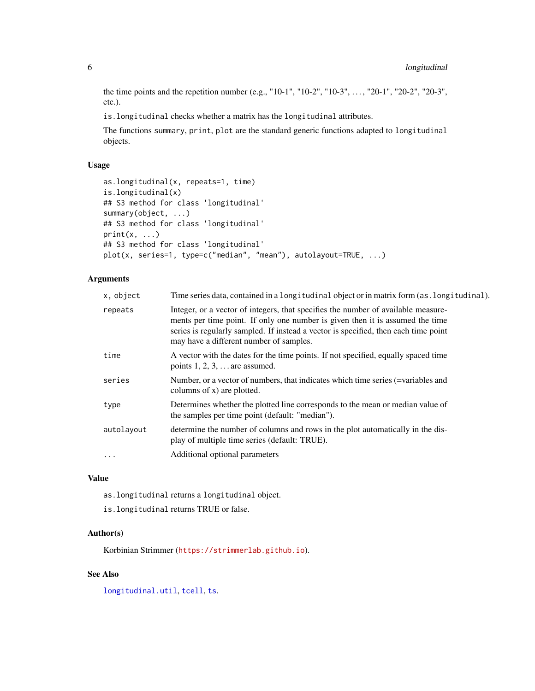the time points and the repetition number (e.g., "10-1", "10-2", "10-3", . . . , "20-1", "20-2", "20-3", etc.).

is.longitudinal checks whether a matrix has the longitudinal attributes.

The functions summary, print, plot are the standard generic functions adapted to longitudinal objects.

#### Usage

```
as.longitudinal(x, repeats=1, time)
is.longitudinal(x)
## S3 method for class 'longitudinal'
summary(object, ...)
## S3 method for class 'longitudinal'
print(x, \ldots)## S3 method for class 'longitudinal'
plot(x, series=1, type=c("median", "mean"), autolayout=TRUE, ...)
```
#### Arguments

| x, object  | Time series data, contained in a long itudinal object or in matrix form (as . long itudinal).                                                                                                                                                                                                        |
|------------|------------------------------------------------------------------------------------------------------------------------------------------------------------------------------------------------------------------------------------------------------------------------------------------------------|
| repeats    | Integer, or a vector of integers, that specifies the number of available measure-<br>ments per time point. If only one number is given then it is assumed the time<br>series is regularly sampled. If instead a vector is specified, then each time point<br>may have a different number of samples. |
| time       | A vector with the dates for the time points. If not specified, equally spaced time<br>points $1, 2, 3, \ldots$ are assumed.                                                                                                                                                                          |
| series     | Number, or a vector of numbers, that indicates which time series (=variables and<br>columns of $x$ ) are plotted.                                                                                                                                                                                    |
| type       | Determines whether the plotted line corresponds to the mean or median value of<br>the samples per time point (default: "median").                                                                                                                                                                    |
| autolayout | determine the number of columns and rows in the plot automatically in the dis-<br>play of multiple time series (default: TRUE).                                                                                                                                                                      |
| $\ddotsc$  | Additional optional parameters                                                                                                                                                                                                                                                                       |

#### Value

as.longitudinal returns a longitudinal object.

is.longitudinal returns TRUE or false.

#### Author(s)

Korbinian Strimmer (<https://strimmerlab.github.io>).

#### See Also

[longitudinal.util](#page-6-1), [tcell](#page-8-1), [ts](#page-0-0).

<span id="page-5-0"></span>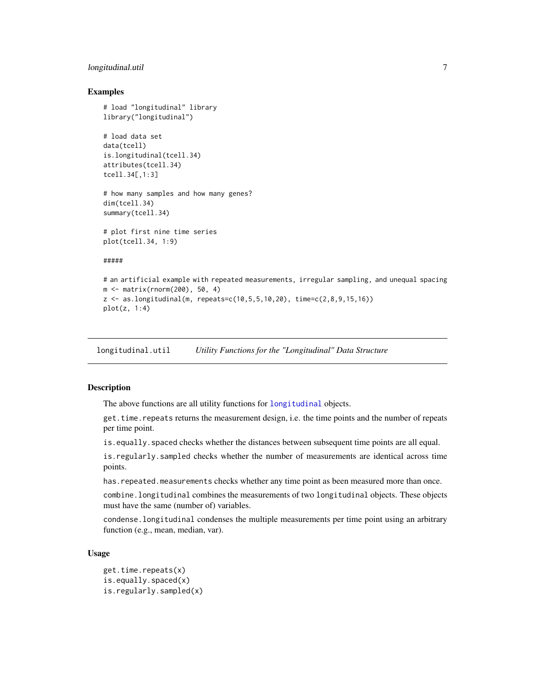#### <span id="page-6-0"></span>longitudinal.util 7

#### Examples

```
# load "longitudinal" library
library("longitudinal")
# load data set
data(tcell)
is.longitudinal(tcell.34)
attributes(tcell.34)
tcell.34[,1:3]
# how many samples and how many genes?
dim(tcell.34)
summary(tcell.34)
# plot first nine time series
plot(tcell.34, 1:9)
#####
# an artificial example with repeated measurements, irregular sampling, and unequal spacing
m <- matrix(rnorm(200), 50, 4)
z \leq - as.longitudinal(m, repeats=c(10,5,5,10,20), time=c(2,8,9,15,16))
plot(z, 1:4)
```
<span id="page-6-1"></span>longitudinal.util *Utility Functions for the "Longitudinal" Data Structure*

#### Description

The above functions are all utility functions for [longitudinal](#page-4-1) objects.

get.time.repeats returns the measurement design, i.e. the time points and the number of repeats per time point.

 $i$ s. equally. spaced checks whether the distances between subsequent time points are all equal.

is.regularly.sampled checks whether the number of measurements are identical across time points.

has. repeated.measurements checks whether any time point as been measured more than once.

combine.longitudinal combines the measurements of two longitudinal objects. These objects must have the same (number of) variables.

condense.longitudinal condenses the multiple measurements per time point using an arbitrary function (e.g., mean, median, var).

#### Usage

```
get.time.repeats(x)
is.equally.spaced(x)
is.regularly.sampled(x)
```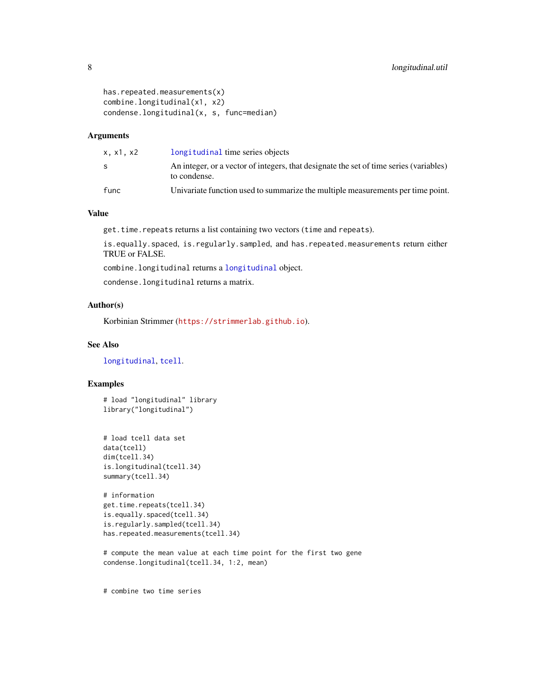```
has.repeated.measurements(x)
combine.longitudinal(x1, x2)
condense.longitudinal(x, s, func=median)
```
#### Arguments

| x.x1.x2 | longitudinal time series objects                                                                       |
|---------|--------------------------------------------------------------------------------------------------------|
| S       | An integer, or a vector of integers, that designate the set of time series (variables)<br>to condense. |
| func    | Univariate function used to summarize the multiple measurements per time point.                        |

#### Value

get.time.repeats returns a list containing two vectors (time and repeats).

is.equally.spaced, is.regularly.sampled, and has.repeated.measurements return either TRUE or FALSE.

combine.longitudinal returns a [longitudinal](#page-4-1) object.

condense.longitudinal returns a matrix.

#### Author(s)

Korbinian Strimmer (<https://strimmerlab.github.io>).

#### See Also

[longitudinal](#page-4-1), [tcell](#page-8-1).

#### Examples

# load "longitudinal" library library("longitudinal")

```
# load tcell data set
data(tcell)
dim(tcell.34)
is.longitudinal(tcell.34)
summary(tcell.34)
```

```
# information
get.time.repeats(tcell.34)
is.equally.spaced(tcell.34)
is.regularly.sampled(tcell.34)
has.repeated.measurements(tcell.34)
```
# compute the mean value at each time point for the first two gene condense.longitudinal(tcell.34, 1:2, mean)

# combine two time series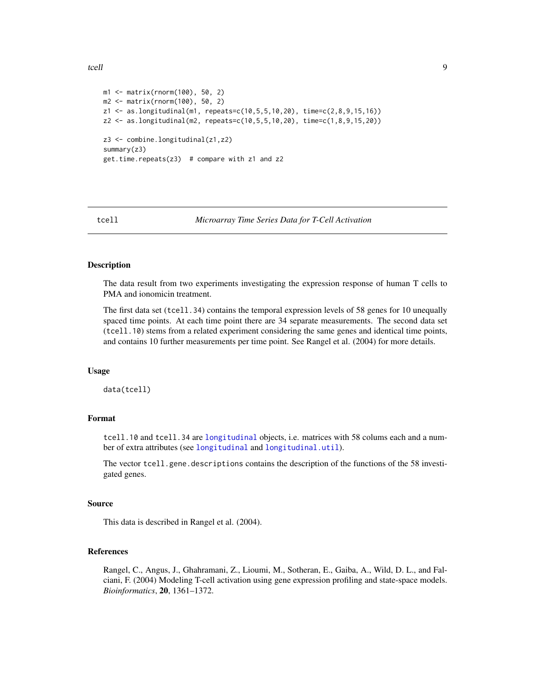```
m1 <- matrix(rnorm(100), 50, 2)
m2 <- matrix(rnorm(100), 50, 2)
z1 <- as.longitudinal(m1, repeats=c(10,5,5,10,20), time=c(2,8,9,15,16))
z2 <- as.longitudinal(m2, repeats=c(10,5,5,10,20), time=c(1,8,9,15,20))
z3 <- combine.longitudinal(z1,z2)
summary(z3)
get.time.repeats(z3) # compare with z1 and z2
```
<span id="page-8-1"></span>

tcell *Microarray Time Series Data for T-Cell Activation*

#### **Description**

The data result from two experiments investigating the expression response of human T cells to PMA and ionomicin treatment.

The first data set (tcell.34) contains the temporal expression levels of 58 genes for 10 unequally spaced time points. At each time point there are 34 separate measurements. The second data set (tcell.10) stems from a related experiment considering the same genes and identical time points, and contains 10 further measurements per time point. See Rangel et al. (2004) for more details.

#### Usage

data(tcell)

#### Format

tcell.10 and tcell.34 are [longitudinal](#page-4-1) objects, i.e. matrices with 58 colums each and a number of extra attributes (see [longitudinal](#page-4-1) and [longitudinal.util](#page-6-1)).

The vector tcell.gene.descriptions contains the description of the functions of the 58 investigated genes.

#### Source

This data is described in Rangel et al. (2004).

#### References

Rangel, C., Angus, J., Ghahramani, Z., Lioumi, M., Sotheran, E., Gaiba, A., Wild, D. L., and Falciani, F. (2004) Modeling T-cell activation using gene expression profiling and state-space models. *Bioinformatics*, 20, 1361–1372.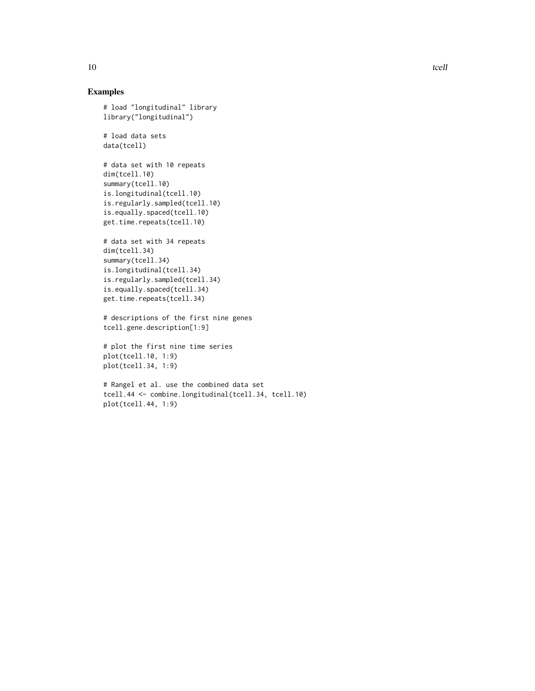#### Examples

```
# load "longitudinal" library
library("longitudinal")
```
# load data sets data(tcell)

```
# data set with 10 repeats
dim(tcell.10)
summary(tcell.10)
is.longitudinal(tcell.10)
is.regularly.sampled(tcell.10)
is.equally.spaced(tcell.10)
get.time.repeats(tcell.10)
```

```
# data set with 34 repeats
dim(tcell.34)
summary(tcell.34)
is.longitudinal(tcell.34)
is.regularly.sampled(tcell.34)
is.equally.spaced(tcell.34)
get.time.repeats(tcell.34)
```
# descriptions of the first nine genes tcell.gene.description[1:9]

```
# plot the first nine time series
plot(tcell.10, 1:9)
plot(tcell.34, 1:9)
```

```
# Rangel et al. use the combined data set
tcell.44 <- combine.longitudinal(tcell.34, tcell.10)
plot(tcell.44, 1:9)
```